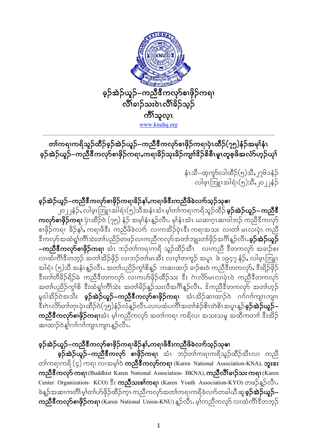

တၢ်ကရၢကရိသူဉ်ထိဉ်ခ့ဉ်အဲဉ်ယူဉ်–ကညီဒီကလုာ်စၢဖှိဉ်ကရၢပှဲၤထိဉ်(၇၅)နံဉ်အမှ<mark>ု</mark>်နံၤ ခ့ဉ်အဲဉ်ယူဉ်–ကညီဒီကလုပ်စၢဖိုဉ်ကရာ,ကရာခိဉ်သုံးခိဉ်ကျား်နဉ်စိစီးမှု၊တူစိုဖိအလံပ်ဟုဉ်ယု၊်

> နံၤသီ–ထ့ကူာ်လါထိဉ်(၅)သိႇ၂၇၆၁နံဉ် လါဖဲ့ၤဘြူၤအါရံၤ(၅)သိ,၂၀၂၂နံ့ဉ်

ခ့ဉ်အဲဉ်ယူဉ်–ကညီီကလုာ်စၢဖိုဉ်ကရၢခိဉ်န $\mathbf i$ ,ကရၢဖိဇီးကညီဖိခဲလၢာ်သုဉ်သုဓၢ ၂၀၂၂နံဉ်ႇလါဖဲ့ၤဩူၤအါရံၤ(၅)သိအနံၤအံၤ မ့္ောကျကရိသူဉ်ထိဉ် **ခ့ဉ်အဲဉ်ယူဉ်– ကညီဒီ** ကလုာ်စာဖိုဉ်ကရာ ပုံၤထိဉ်ဝါ (၇၅) နံဉါ အမုနံနံနှဉ်လီၤ. မုနံနံးအဲၤ ယဆၢဂူးဆ၊ဝါဘဉ် ကညီဒီကလုာ် စၢဖိုဉ်ကရ၊ ဓိဉ်နှ)်, ကရ၊ဖိနီး ကညီဖိခဲလ၊ဉ် လ၊ကအိဉ်ပုံၤနီး ကရ၊အသး လ၊တ၊် မၤလ၊ပုံၤ ကညီ ဒီကလုာ်အထံရှ<sup>ု်</sup>ကိ်ုသဲးတၢ်ပညိဉ်တဖဉ်လၢကညီကလုာ်အတၢ်ဘျုးတၢ်ဖှိဉ်အဂိၢိန္ဉ်လီၤ**.ခ့ဉ်အဲဉ်ယူဉ် –ကညီ<sup>8ွ</sup>ကလု<sup>ှ</sup>စၢဖှိဉ်ကရာ** အဲၤ ဘဉ်တၢ်ကရာကရိ သူဉ်ထိဉ်အီၤ လာကညီ ဒီတကလုဉ် အခၢဉ်စီး လ၊ထဲကိၢိနိတဘုဉ် အတၢ်အိဉ်ဖိုဉ် လ၊ဘဉ်တ၊်မၤအီၤ လ၊ဝ့ၢ်တကူဉ် အပူၤ ဖဲ ၁၉၄၇ နံဉ်ႇ လါဖ့ၤဘြူၤ အါရံၤ (၅)သိ အနံၤန္βလိၤႉ အတၤဴပညိဉ်ကွၤ်စိန္β် ကဆၤထၢβ် ခၢဴဉ်စႏဝဲ ကညီဒီတကလု§ႇ ဒီးရိဉ်ဖိုဉ် နီးတၢ်တီနိဉ်ရိဉ်မဲ ကညီနီတကလုာ လၢကဟ်ဖိုဉ်ထိဉ်သး နီး ဂဲၤလိ5မၤလၢပဲ့ၤ၀ဲ ကညီနီတကလုာ် အတၤ်ပညိဉ်ကွ်ၤ်စိ ဒီးထဲရှု၊်ကိၤ်သဲး အတၤ်မိဉ်နှဉ်သးလီအဂ်ိၢန္ဉာလီၤႉ ဒ်ကညီဒီတကလု>် အတၤ်ဟ့ဉ် မူဒါအိဉ်ဝဲအသိိး **ခ့ဉ်အဲဉ်ယူဉ်–ကညီဇီကလုပ်စၢဖိုဉ်ကရ၊** အံၤအိဉ်ဆၢထ၊ဉ်ဝဲ ဂၢၢ်ဂၢါကျ၊ၤကျ၊ၤ ွှီးဂဲၤလိ်ာ်တာ်တုၤပှဲၤထိဉ်ဝဲ(၇၅)နံဉ်လံနဉ်လီၤႉလၢပထံပကိၢ်အတၢ်စံဉ်စိၤတဲစိၤအပူၤန္ဉ**်ခ့ဉ်အဲဉ်ယူဉ်**– **ကညီဒီကလုာ်စၢဖိုဉ်ကရၢ**အံၤဳမှ၊်ကညီကလုာ် အတၢ်ကရၢ ကရိလ၊ အသးသမူ အထိကတၢ၊ ဒီးအိဉ် ဆ၊ထ၊ဉ်ဝဲန္၊်ဂၢၢ်ဂၢၢ်ကျ၊ၤကျ၊ၤန္ဉာလီၤႉ

# ခ့ဉ်အဲဉ်ယူဉ်–ကညီဒီကလုာ်စၢဖှိဉ်ကရၢခိဉ်န $\mathsf{i},$ ကရၢဖိဒီးကညီဖိခဲလၢာ်သ့ဉ်သုဓၢ

**ခ့််အဲ့ဉ်ယူဉ်–ကညီဒီကလုာ် စၢဖှိဉ်ကရ၊** အံၤာာဉ်တၢ်ကရၢကရိသူဉ်ထိဉ်အီၤလၢ ကညီ တာ်ကရာကရိ $(5)$  ကရာ လာအမ့်ါဝဲ **ကညီဒီကလုာ်ကရာ** (Karen National Association-KNA), **ဘူး** $\cdot$ **း** ကညီဒီကလု>် ကရၢ (Buddhist Karen National Association- BKNA), ကညီလိၢ်ခၢဉ်သး ကရ၊ (Karen Center Organization- KCO) ဒီး **ကညီသးစါကရ**၊ (Karen Youth Association-KYO) တဖဉ်နှဉ်လီၤ. ဖဲန္ဉာိအဆၢကတိၢိမ့္ပ်က္(ဟိုမိုဉ်ထိဉ်က္) ကညီကလုာ်အတၤ်ကရၢကရိခဲလၢာ်တခါယီဆူ**ခ့ဉ်အဲဉ်ယူဉ်– ကညီဒီကလုာ်စၢဖိုဉ်ကရ၊** (Karen National Union-KNU) န္ဉာလီၤႉ မ့ၢ်ကညီကလုာ် လၢထဲကိ<sup>ုင္မိ</sup>တဘုဉ်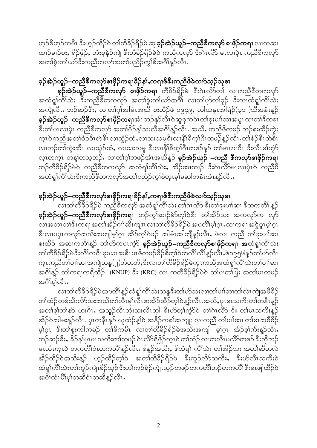ဟုဉ်စိဟုဉ်ကမိၤ ဒီးဟုဉ်ထိဉ်ဝဲ တၢ်တိခိဉ်ရိဉ်မဲ ဆူ **ခုဉ်အဲဉ်ယူဉ်–ကညီဒီကလုာ် စၢဖိုဉ်ကရ၊** လၢကဆ၊ ထျဉ်ချဉ်စး, ရိဉ်ဖိုဉ်, ဟုံးစုနဉ်ကျ ဒီးတိခိဉ်ရိဉ်မဲဝဲ ကညီကလုာ ဒီးဂၤလိ>် မၤလၢပုံၤ ကညီဒီကလုာ် အတၢ်ခွဲးတၢ်ယာ်ဒီးကညီကလှာ်အတၢ်ပညိဉ်ကွၢ်စိအင်္ဂါန္ဉာလီၤ

# ခူဉ်အဲဉ်ယူဉ်–ကညီဒီကလှာ်စၢဖိုဉ်ကရၢခိဉ်န}ႇကရၢဖိဒီးကညီဖိခဲလၢာ်သူဉ်သုဓၢ

**ခ့ဉ်အဲ့ဉ်ယူဉ်–ကညီဒီကလုာ် စၢဖိုဉ်ကရၢ** တီခိဉ်ရိဉ်မဲ ဒီးဂဲၤလိာ်တၢ် လၢကညီဒီတကလုာ် အထံရှုါကိါသဲး ဒီးကညီဒီတကလုာ် အတ္ခါနဲ့းတါယာ်အဂိါ လ၊တါမှာ်တါခုဉ် ဒီးလ၊ထံရှုါကိါသဲး အကျဲလီၤႉ ဘဉ်ဆဉ်ဒီးႇ လၢတၢ်ဂ္၊်အါမံၤအယိ စးထိဉ်ဖဲ ၁၉၄၉ႇ လါယနူၤအါရံဉ်(၃၁ )သီအနံၤန္ဉာ် **ခ့ဉ်အဲ့ဉ်ယူဉ်–ကညီဒီကလုာ်စၢဖိုဉ်ကရၢ**အံၤဘဉ်နှာ်လီၤဝဲဆူစုကဝဲၤတၢ်ဒုးပၢၢ်ဆၢအပူၤလၢတၢ်ဒီတဒၢ ဒီးတါမၤလၢပုံၤ ကညီဒီကလုာ် အတၢ်မိဉ်န္1်သးလီအဂ်ိၢန္ဥာလိၤႉ အယိႇ ကညီဖိတဖဉ် ဘဉ်စးထိဉ်ကွဲး က္နၤဝဲကညီအတၢ်စံဉ်စိၤတဲစိၤလၢသံ့ဉ်ထံႇလၢသးသမှုဒီးလၢနိ1်ခိက္ပါဂီၤတဖဉ်န္ဉာလီၤႉတၢ်စံဉ်စိၤတဲစိၤ လ၊ဘဉ်တါကွဲးအီၤ လ၊သွံဉ်ထံ, လ၊သးသမူ ဒီးလ၊နိ1်ခိက္နါဂီၤတဖဉ်နူဉ် တါမၤဟးဂီၤ ဒီးလီၤမါကွံဉ် လ္ၤတက္ၤ တန္္ပါတသ္ဘာဉ်ႉ လၢတၢဴဂ္ပ္ပါတဖဉ်အံၤအယိန္ဉွ် **ခ့ဉ်အဲဉ်ယူဉ် –ကညီ ဒီကလုာ်စၢဖိုဉ်ကရၢ** ဘဉ်တီခိဉ်ရိဉ်မဲဝဲ ကညီဒီတကလုာ် အထံရှ၊်ကိၢ်သဲး, အိဉ်ဆ၊ထ၊ဉ် ဒီးဂဲၤလိဉ်မၤလ၊ပဲုၤဝဲ ကညီဖိ အထံရှ<sup>ု်</sup>တိ<sup>ုသွေး</sup>ဒီးကညီဒီတကလုာ်အတၢ်ပညိဉ်ကွၢ်စိတုၤမု၊်မဆါတနံၤအံၤန္ဉာ်လီၤ

### ခွဉ်အဲ့ဉ်ယူဉ်–ကညီဒီကလုာ်စၢဖိုဉ်ကရၢခိဉ်န}ႇကရၢဖိဒီးကညီဖိခဲလၢာ်သူဉ်သုဓၢ

လ၊တၢ်တိခိဉ်ရိဉ်မဲ ကညီဒီကလုာ် အထံရှၢ်ကိၢ်သဲး တၢ်ဂဲၤလိ9် ဒီးတၢ်ဒုးပၢၢ်ဆ၊ ဒီတကတိၢ် နူဉ် **ခ့ဉ်အဲ့ဉ်ယူဉ်–ကညီဒီကလှာ်စၢဖိုဉ်ကရၢ**ာာဉ်ကွၢ်ဆၢဉ်မဲာ်တ့ၢ်ဝဲဒီး တၢ်အိ့ဉ်သး အကလှာ်က လှာ် လၢအတၤတၢ်ဒီးကရ၊ အတၢ်အိဉ်ဂၢါဆိးကျ၊ၤ လ၊တၢ်တီခိဉ်ရိဉ်မဲ အပတိၢ်မ့ၢ်ဂူၤ,လ၊ကရ၊ အဒွဲပူၤမ့ၢ်ဂူၤ နီးလ၊ပပုၤကလှာ်အသိးအကျါမ့္ပ်ဂ္၊ အိဉ်တု့္ပ်ဝဲနဉ် အါမံၤအါဘိုုန္ဉာလီၤႉ ဖဲလ၊ ကညီ တျနးပျာ်ဆ၊ စးထိဉ် အဆၢကတိၢိန္ဉ် တၢ်ဟ်ကပၤက္ငံာ် **ခ့ဉ်အဲဉ်ယူဉ်–ကညီဒီကလုာ်စၢဖိုဉ်ကရၢ အ**ထံရှု၊်ကိၢ်သဲး တၢ်တီခိဉ်ရိဉ်မဲဒီးလိၤ်ကဝီၤဒုးယၤအစီၤပၤဖိတဖဉ်ဒိဉ်စိတ္iာဝဲတလိၤ်လိၤ်န္ဉာလီၤႉဖဲ၁၉၅၆န္ဉာတၤ်ဟ်လီၤ က္ၤကညီတၢ်ပၢါဆၢအကျဲသနူ(၂)ဘိတဘိႇဒီးလၢတၢ်တိခိဉ်ရိဉ်မဲက္ၤကညီအထံရူ၊်ကိၢ်သဲးတၢ်ပၢါဆၢ အဂ်ိၢိန္ဉြ တၢ်ကရၢကရိထိဉ် (KNUP) ဒီး (KRC) လၢ ကတိခိဉ်ရိဉ်မဲဝဲ တ၊်ပၢတၢ်ပြး အတၢ်မၤတဖဉ် အင်္ဂါန1်လီၤ.

လ၊တၢ်တီခိဉ်ရိဉ်မဲအပတိၢ်န္ဥာ်ထံရှု၊်ကိၢ်သဲးသနူဒီးတၢ်ဟ်သးလ၊တ၊်ပၢါဆ၊တ၊်လဲၤကျဲအဖီခိဉ် တၢ်ထံဉ်တဒ်သိးလိ5သးအယိတၢ်လီၤမု၊်လီၤဖးအိဉ်ထိဉ်တု၊်ဝဲန္နဉ်လီၤႉအယိႇပုၤမၤသကိးတၢ်တနိၤန္ဉာ် အတၢ်စူ၊်တၢ်နှာ် ဟးဂိၤ,အသူဉ်လီၤဘုံးသးလီၤဘုါ ဒီးဟ်တ့ၢ်ကွဲာ်ဝဲ တၢ်ဂဲၤလိ>် ဒီး တ၊်မၤသကိႏန့်ဉ် အိဉ်ဝဲအါမးန္ဉာ်လီၤႉ ပုၤတနိၤန္ဉာ် ယုထံဉ်န္]်ဝဲ အနိဉ်ကစၢ်အဘျုး လၢကညီ တၢ်ပၢါဆၢ တၢ်မၤအဖီခိဉ် မ့္ပ်က္၊ ဒီးတ္ပ္ခ်စူးကါကမဉ် တ္ပါစိကမီၤ လ၊တ္ပ္ပ်တ္စီခ်ိုခ်ိုခဲ့အသိးအကျါ မ့္ပ်က္၊ အိဉ်စ္န္ပ်ကီးန္ဥ်လီၤ ဘဉ်ဆဉ်ဒီး,ခိဉ်နှၤ်ပုၤမၤသကိႏတၢ်တဖဉ် ဂဲၤလိ>်ရိဖိုဉ်ကူၤဝဲ တၢ်ထံဉ် လၢတလီၤပလိ>်တဖဉ် ဒီးဘိုဘဉ် မၤလိၤက္ၤဝဲ တကတိၢိဝံၤတကတိၢိန္ဉာလီၤႉ ဒ်န္ဉာ်အသိးႇ ဒ်ထံရူၢ် ကိၢ်သဲး တၢ်အိဉ်သး အတၢ်ဆီတလဲ အိဉ်ထိဉ်ဝဲအသိးန္ဉာ ဟူဉ်ထိဉ်တ္႐ွ်ဝဲ အတ္ပ္ပတ္ဝိခ်ိုဥ်ခဲ့ ဒီးကူဉ်လိဉ်သကိႏႇ ဒီးဟ်လီၤသကိႏဝဲ ထံရှု၊်ကိၢိသဲးတၢ်ကူဉ်ကျဲၤခိဉ်သူဉ်ဒီးတၢ်ကူဉ်ရဲဉ်ကျဲၤသူဉ်တဖဉ်တကတိၢ်ဘဉ်တကတိၢ်ဒီးမၤဖျါထိဉ်ဝဲ အမိၢိလံၤမိၢိပုၢ်တဆီဝံၤတဆီနဉ်လီၤႉ